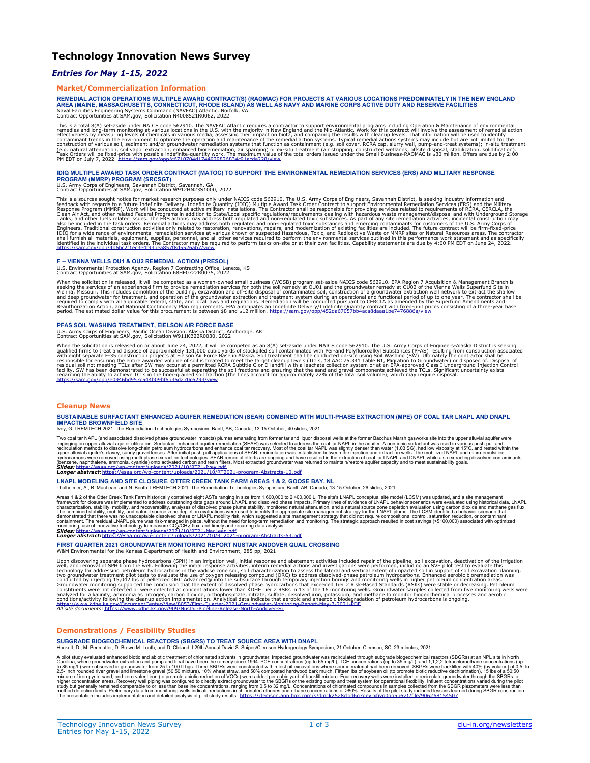# **Technology Innovation News Survey**

## *Entries for May 1-15, 2022*

#### **Market/Commercialization Information**

REMEDIAL ACTION OPERATIONS MULTIPLE AWARD CONTRACT(S) (RAOMAC) FOR PROJECTS AT VARIOUS LOCATIONS PREDOMINATELY IN THE NEW ENGLAND<br>AREA (MAINE, MASSACHUSETTS, CONNECTICUT, RHODE ISLAND) AS WELL AS NAVY AND MARINE CORPS ACTI Naval Facilities Engineering Systems Command (NAVFAC) Atlantic, Norfolk, VA Contract Opportunities at SAM.gov, Solicitation N4008521R0062, 2022

This is a total 8(A) set-aside under NAICS code 562910. The NAVFAC Atlantic requires a contractor to support environmental programs including Operation & Maintenance of environmental explanation and the Mid-Atlantic. Work

# IDIQ MULTIPLE AWARD TASK ORDER CONTRACT (MATOC) TO SUPPORT THE ENVIRONMENTAL REMEDIATION SERVICES (ERS) AND MILITARY RESPONSE<br>PROGRAM (MMRP) PROGRAM (SRCSGT)<br>U.S. Army Corps of Engineers, Savannah District, Savannah, GA<br>Co

This is a sources sought notice for market research purposes only under NAICS code 562910. The U.S. Army Corps of Engineers, Savannah District, is seeking industry information and the Military Theorem sections and the Mili

#### **F -- VIENNA WELLS OU1 & OU2 REMEDIAL ACTION (PRESOL)**

U.S. Environmental Protection Agency, Region 7 Contracting Office, Lenexa, KS Contract Opportunities at SAM.gov, Solicitation 68HE0722R0035, 2022

When the solicitation is released, it will be competed as a women-owned small business (WOSB) program set-aside NAICS code 562910. EPA Region 7 Acquisition & Management Branch is seeking the services of an experienced firm

#### **PFAS SOIL WASHING TREATMENT, EIELSON AIR FORCE BASE**

U.S. Army Corps of Engineers, Pacific Ocean Division, Alaska District, Anchorage, AK Contract Opportunities at SAM.gov, Solicitation W911KB22R0030, 2022

When the solicitation is released on or about June 24, 2022, it will be competed as an 8(A) set-aside under NAICS code 562910. The U.S. Army Corps of Engineers-Alaska Distriction associated<br>qualified firms to treat and dis

#### **Cleanup News**

#### **SUSTAINABLE SURFACTANT ENHANCED AQUIFER REMEDIATION (SEAR) COMBINED WITH MULTI-PHASE EXTRACTION (MPE) OF COAL TAR LNAPL AND DNAPL IMPACTED BROWNFIELD SITE**

Ivey, G. ǀ REMTECH 2021: The Remediation Technologies Symposium, Banff, AB, Canada, 13-15 October, 40 slides, 2021

Two coal tar NAPL (and associated dissolved phase groundwater impacts) plumes emanting from forms that induced dissolved one alluvial aquifer utilization. Surfactant enhanced aquifer remediation (SEAR) was selected to addr

# **Longer abstract:**ht

**LNAPL MODELING AND SITE CLOSURE, OTTER CREEK TANK FARM AREAS 1 & 2, GOOSE BAY, NL** Thalheimer, A., B. MacLean, and N. Booth. I REMTECH 2021: The Remediation Technologies Symposium, Banff, AB, Canada, 13-15 October, 26 slides, 2021

Areas 1.8.2 of the Otter Creek Tank Farm historically contained eight ASTs ranging in size form 1,600,000 2.400,000 L. The site's LNAPL behavior scenarios were evaluated and site management<br>framework for closure was implem

**FIRST QUARTER 2021 GROUNDWATER MONITORING REPORT NUSTAR ANDOVER QUAIL CROSSING**

W&M Environmental for the Kansas Department of Health and Environment, 285 pp, 2021

Upon discovering separate phase hydrocarbons (SPH) in an irrigation well, intital response and abatement activities including and be eigeline, soil excavation of the fuel interactions and the irrigation of the principal an

#### **Demonstrations / Feasibility Studies**

#### **SUBGRADE BIOGEOCHEMICAL REACTORS (SBGRS) TO TREAT SOURCE AREA WITH DNAPL**

Hockett, D., M. Perlmutter, D. Brown M. Louth, and D. Cleland. ǀ 29th Annual David S. Snipes/Clemson Hydrogeology Symposium, 21 October, Clemson, SC, 23 minutes, 2021

A pitol study evaluated enhanced bioric enterned to in divortine to fchioriated solvents in groundwater manged groundwater instructions and ethaile and the preservation and pump and treat that have been the remedy since 19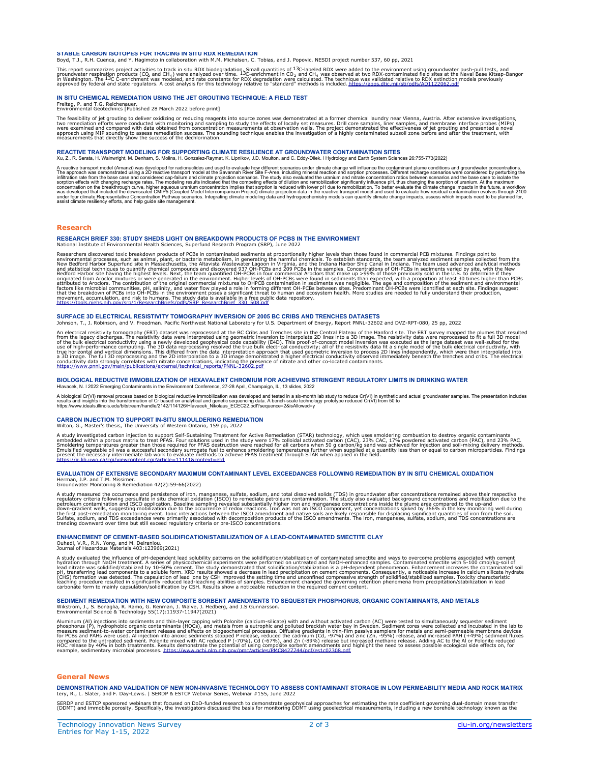#### **STABLE CARBON ISOTOPES FOR TRACING IN SITU RDX REMEDIATION**

Boyd, T.J., R.H. Cuenca, and Y. Hagimoto in collaboration with M.M. Michalsen, C. Tobias, and J. Popovic. NESDI project number 537, 60 pp, 2021

This report summarizes project activities to track in situ RDX biodegradation, Superman in Collecton and the mate than the material and the material and the material states at the Naval Base Kitsap-Bangor in the Mayal Base

#### **IN SITU CHEMICAL REMEDIATION USING THE JET GROUTING TECHNIQUE: A FIELD TEST**

Freitag, P. and T.G. Reichenauer. Environmental Geotechnics [Published 28 March 2022 before print]

The feasibility of jet grouting to deliver oxidzing or reducing reagents into source zones was demonstrated at a former chemical laundry near Vienna, Austria. After extensive investigations,<br>two remediation efforts were co

#### **REACTIVE TRANSPORT MODELING FOR SUPPORTING CLIMATE RESILIENCE AT GROUNDWATER CONTAMINATION SITES** Xu, Z., R. Serata, H. Wainwright, M. Denham, S. Molins, H. Gonzalez-Raymat, K. Lipnikov, J.D. Moulton, and C. Eddy-Dilek. ǀ Hydrology and Earth System Sciences 26:755-773(2022)

A reactive transport model (Amarzi) was developed for radionuclides and used to evaluate how different scenarios under climate change will infuence the contaminant plume conditions and groundwater concernations.<br>The approa

#### **Research**

**RESEARCH BRIEF 330: STUDY SHEDS LIGHT ON BREAKDOWN PRODUCTS OF PCBS IN THE ENVIRONMENT** National Institute of Environmental Health Sciences, Superfund Research Program (SRP), June 2022

Researchers discovered toxic breakdown products of PCBs in contaminated sediments at proportionally higher levels han those found in commental pCB mixtures. Findings point to example collected from the environmental pCB mi

#### **SURFACE 3D ELECTRICAL RESISTIVITY TOMOGRAPHY INVERSION OF 2005 BC CRIBS AND TRENCHES DATASETS**

Johnson, T., J. Robinson, and V. Freedman. Pacific Northwest National Laboratory for U.S. Department of Energy, Report PNNL-32602 and DVZ-RPT-080, 25 pp, 2022

An electrical resistivity tomography (ERT) dataset was reprocessed at the BC Cribs and Trenches site in the Central Plateau of the Hanford site. The ERT survey mapped the plumes that resulted in the legacy discharges. The

#### **BIOLOGICAL REDUCTIVE IMMOBILIZATION OF HEXAVALENT CHROMIUM FOR ACHIEVING STRINGENT REGULATORY LIMITS IN DRINKING WATER** Hlavacek, N. ǀ 2022 Emerging Contaminants in the Environment Conference, 27-28 April, Champaign, IL, 13 slides, 2022

A biological Cr(VI) removal process based on biological reductive immobilization was developed and tested in a six-month lab study to reduce Cr(VI) in synthetic and actual groundwater samples. The presentation includes<br>res

#### **CARBON INJECTION TO SUPPORT IN-SITU SMOULDERING REMEDIATION**

Wilton, G., Master's thesis, The University of Western Ontario, 159 pp, 2022

A study investigated carbon injection to support Self-Sustaining Treatment for Active Remediation (STAR) technology, which uses smoldering combustion to destroy organic contaminants<br>Smoldering temperatures greater than tho

#### **EVALUATION OF EXTENSIVE SECONDARY MAXIMUM CONTAMINANT LEVEL EXCEEDANCES FOLLOWING REMEDIATION BY IN SITU CHEMICAL OXIDATION**

Herman, J.P. and T.M. Missimer. Groundwater Monitoring & Remediation 42(2):59-66(2022)

A study measured the occurrence and persistence of iron, mangamese, sulfate, sodium, and total dissolved solids (TDS) in groundwater after concentrations remained above their respective<br>regulatory criteria following persul

#### **ENHANCEMENT OF CEMENT-BASED SOLIDIFICATION/STABILIZATION OF A LEAD-CONTAMINATED SMECTITE CLAY**

Ouhadi, V.R., R.N. Yong, and M. Deiranlou. Journal of Hazardous Materials 403:123969(2021)

A study evaluated the influence of pH-dependent lead solubility patterns on the solutional solution to contaminated smelles. Contaminated smeckitle with 5-100 cmol/kg-soil of<br>A ydration through NaOH treatment. A series of

# **SEDIMENT REMEDIATION WITH NEW COMPOSITE SORBENT AMENDMENTS TO SEQUESTER PHOSPHORUS, ORGANIC CONTAMINANTS, AND METALS**

Wikstrom, J., S. Bonaglia, R. Ramo, G. Renman, J. Walve, J. Hedberg, and J.S Gunnarsson. Environmental Science & Technology 55(17):11937-11947(2021)

Aluminum (Al) injections into sediments and thin-layer capping with Polonite (calcium-silicate) with and without activated carbon (AC) were tested to simultaneously sequester sediment<br>phosphorus (P), hydrophobic organic co

### **General News**

**DEMONSTRATION AND VALIDATION OF NEW NON-INVASIVE TECHNOLOGY TO ASSESS CONTAMINANT STORAGE IN LOW PERMEABILITY MEDIA AND ROCK MATRIX** Iery, R., L. Slater, and F. Day-Lewis. | SERDP & ESTCP Webinar Series, Webinar #155, June 2022

SERDP and ESTCP sponsored webinars that focused on DoD-funded research to demonstrate geophysical approaches for estimating the rate coefficient governing dual-domain mass transfer<br>(DDMT) and immobile porosity. Specificall